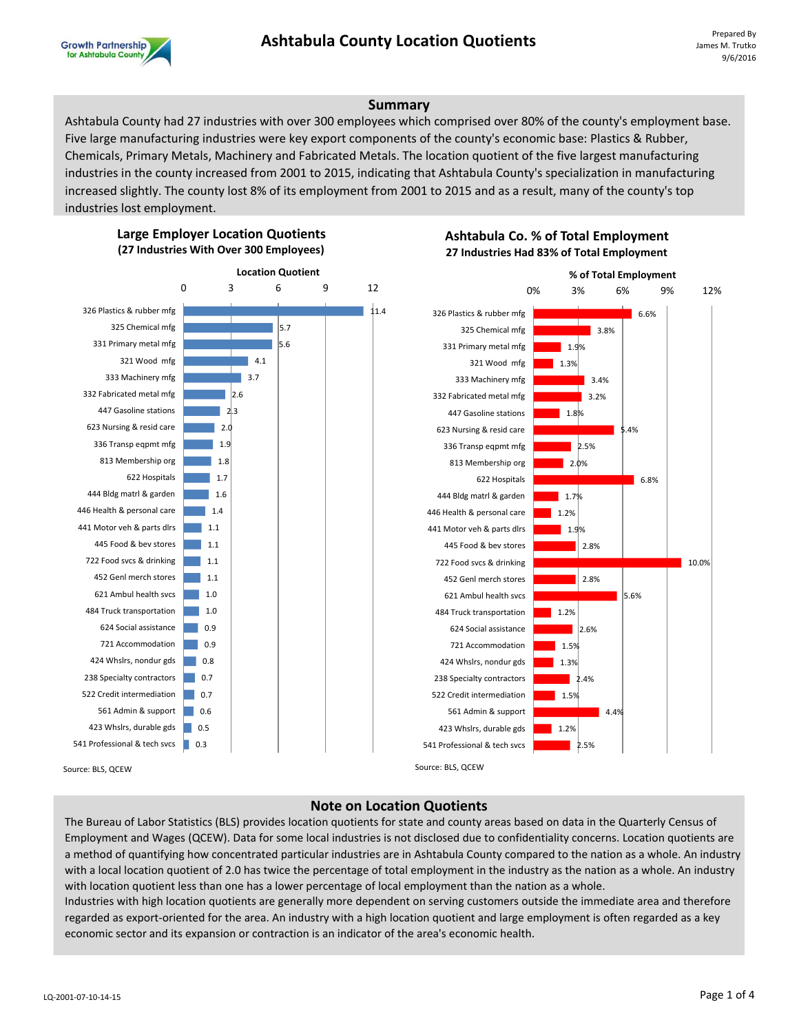



#### **Summary**

Ashtabula County had 27 industries with over 300 employees which comprised over 80% of the county's employment base. Five large manufacturing industries were key export components of the county's economic base: Plastics & Rubber, Chemicals, Primary Metals, Machinery and Fabricated Metals. The location quotient of the five largest manufacturing industries in the county increased from 2001 to 2015, indicating that Ashtabula County's specialization in manufacturing increased slightly. The county lost 8% of its employment from 2001 to 2015 and as a result, many of the county's top industries lost employment.

> **Ashtabula Co. % of Total Employment 27 Industries Had 83% of Total Employment**



# **Large Employer Location Quotients (27 Industries With Over 300 Employees)**

## **Note on Location Quotients**

The Bureau of Labor Statistics (BLS) provides location quotients for state and county areas based on data in the Quarterly Census of Employment and Wages (QCEW). Data for some local industries is not disclosed due to confidentiality concerns. Location quotients are a method of quantifying how concentrated particular industries are in Ashtabula County compared to the nation as a whole. An industry with a local location quotient of 2.0 has twice the percentage of total employment in the industry as the nation as a whole. An industry with location quotient less than one has a lower percentage of local employment than the nation as a whole.

Industries with high location quotients are generally more dependent on serving customers outside the immediate area and therefore regarded as export-oriented for the area. An industry with a high location quotient and large employment is often regarded as a key economic sector and its expansion or contraction is an indicator of the area's economic health.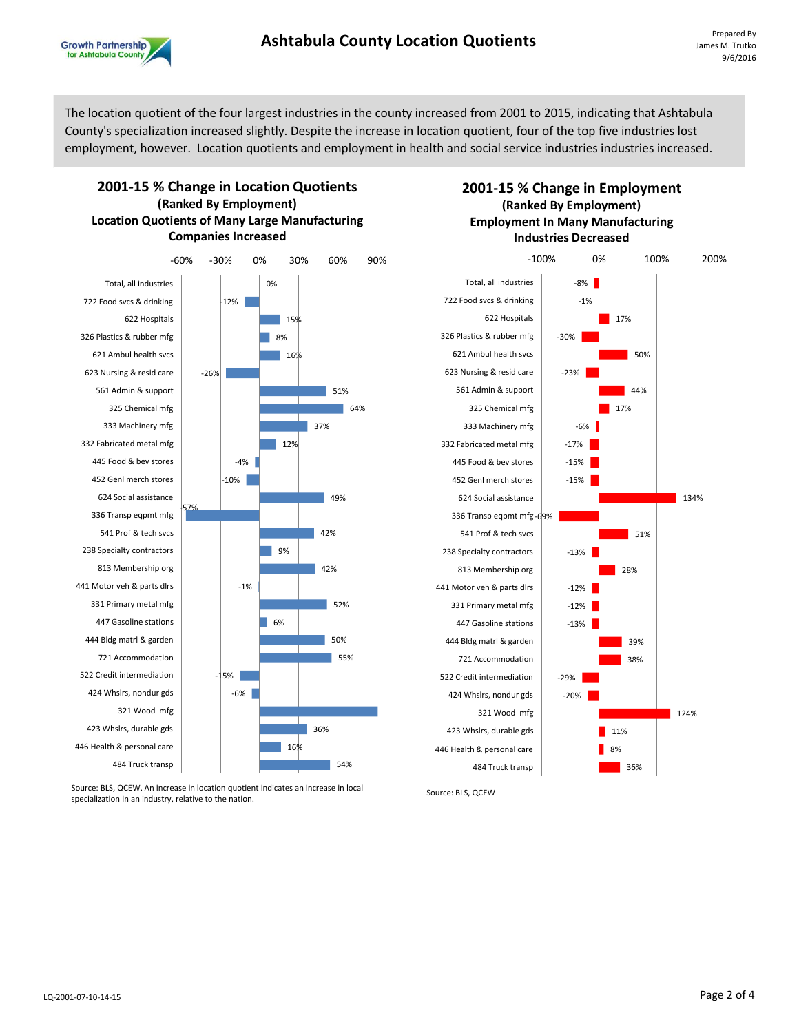

The location quotient of the four largest industries in the county increased from 2001 to 2015, indicating that Ashtabula County's specialization increased slightly. Despite the increase in location quotient, four of the top five industries lost employment, however. Location quotients and employment in health and social service industries industries increased.

## **2001-15 % Change in Location Quotients (Ranked By Employment) Location Quotients of Many Large Manufacturing Companies Increased**

 $-12%$ 

-4% -10%

-1%

-26%

0%

15% 8% 16%

12%

9%

6%

51% 64%

49%

42%

42%

52%

50% 55%

54%

36%

16%

37%

-57% -60% -30% 0% 30% 60% 90% Total, all industries 722 Food svcs & drinking 622 Hospitals 326 Plastics & rubber mfg 621 Ambul health svcs 623 Nursing & resid care 561 Admin & support 325 Chemical mfg 333 Machinery mfg 332 Fabricated metal mfg 445 Food & bev stores 452 Genl merch stores 624 Social assistance 336 Transp eqpmt mfg 541 Prof & tech svcs 238 Specialty contractors 813 Membership org 441 Motor veh & parts dlrs 331 Primary metal mfg 447 Gasoline stations 444 Bldg matrl & garden 721 Accommodation 522 Credit intermediation 424 Whslrs, nondur gds 321 Wood mfg 423 Whslrs, durable gds 446 Health & personal care 484 Truck transp

Source: BLS, QCEW. An increase in location quotient indicates an increase in local specialization in an industry, relative to the nation.

-15% -6%





Source: BLS, QCEW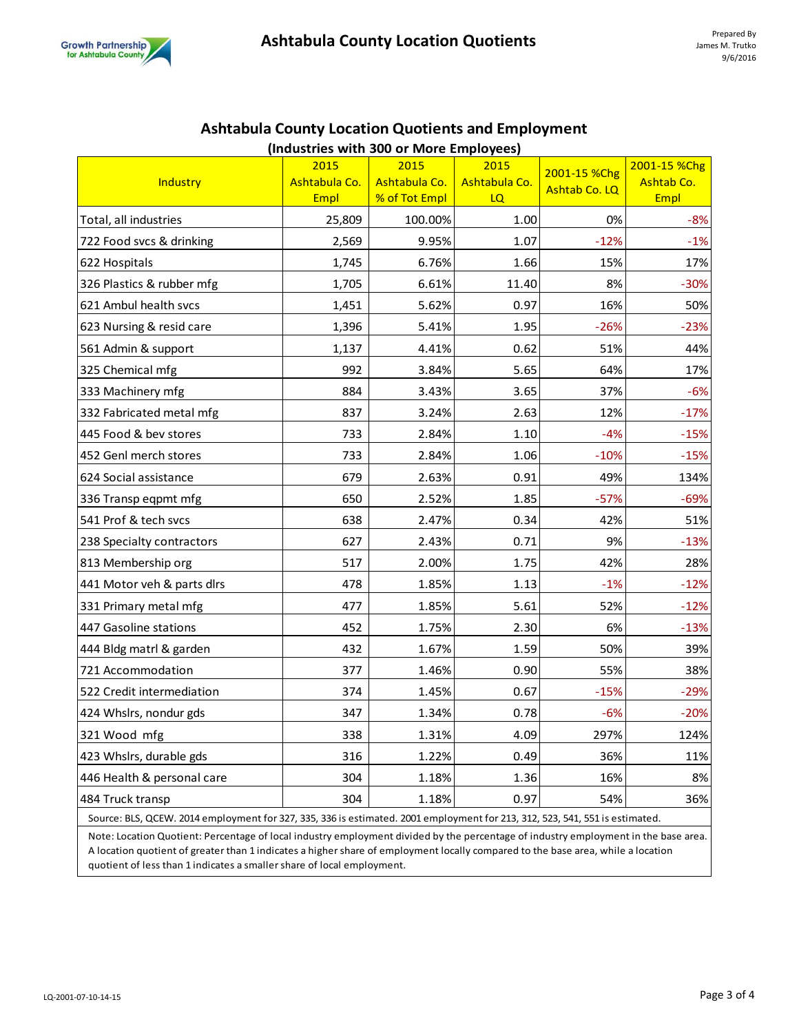

| (industries with 300 or iviore Employees)                                                                                    |               |               |               |               |              |
|------------------------------------------------------------------------------------------------------------------------------|---------------|---------------|---------------|---------------|--------------|
|                                                                                                                              | 2015          | 2015          | 2015          | 2001-15 %Chg  | 2001-15 %Chg |
| <b>Industry</b>                                                                                                              | Ashtabula Co. | Ashtabula Co. | Ashtabula Co. | Ashtab Co. LQ | Ashtab Co.   |
|                                                                                                                              | <b>Empl</b>   | % of Tot Empl | LQ            |               | <b>Empl</b>  |
| Total, all industries                                                                                                        | 25,809        | 100.00%       | 1.00          | 0%            | $-8%$        |
| 722 Food svcs & drinking                                                                                                     | 2,569         | 9.95%         | 1.07          | $-12%$        | $-1%$        |
| 622 Hospitals                                                                                                                | 1,745         | 6.76%         | 1.66          | 15%           | 17%          |
| 326 Plastics & rubber mfg                                                                                                    | 1,705         | 6.61%         | 11.40         | 8%            | $-30%$       |
| 621 Ambul health svcs                                                                                                        | 1,451         | 5.62%         | 0.97          | 16%           | 50%          |
| 623 Nursing & resid care                                                                                                     | 1,396         | 5.41%         | 1.95          | $-26%$        | $-23%$       |
| 561 Admin & support                                                                                                          | 1,137         | 4.41%         | 0.62          | 51%           | 44%          |
| 325 Chemical mfg                                                                                                             | 992           | 3.84%         | 5.65          | 64%           | 17%          |
| 333 Machinery mfg                                                                                                            | 884           | 3.43%         | 3.65          | 37%           | $-6%$        |
| 332 Fabricated metal mfg                                                                                                     | 837           | 3.24%         | 2.63          | 12%           | $-17%$       |
| 445 Food & bev stores                                                                                                        | 733           | 2.84%         | 1.10          | $-4%$         | $-15%$       |
| 452 Genl merch stores                                                                                                        | 733           | 2.84%         | 1.06          | $-10%$        | $-15%$       |
| 624 Social assistance                                                                                                        | 679           | 2.63%         | 0.91          | 49%           | 134%         |
| 336 Transp eqpmt mfg                                                                                                         | 650           | 2.52%         | 1.85          | $-57%$        | $-69%$       |
| 541 Prof & tech svcs                                                                                                         | 638           | 2.47%         | 0.34          | 42%           | 51%          |
| 238 Specialty contractors                                                                                                    | 627           | 2.43%         | 0.71          | 9%            | $-13%$       |
| 813 Membership org                                                                                                           | 517           | 2.00%         | 1.75          | 42%           | 28%          |
| 441 Motor veh & parts dlrs                                                                                                   | 478           | 1.85%         | 1.13          | $-1%$         | $-12%$       |
| 331 Primary metal mfg                                                                                                        | 477           | 1.85%         | 5.61          | 52%           | $-12%$       |
| 447 Gasoline stations                                                                                                        | 452           | 1.75%         | 2.30          | 6%            | $-13%$       |
| 444 Bldg matrl & garden                                                                                                      | 432           | 1.67%         | 1.59          | 50%           | 39%          |
| 721 Accommodation                                                                                                            | 377           | 1.46%         | 0.90          | 55%           | 38%          |
| 522 Credit intermediation                                                                                                    | 374           | 1.45%         | 0.67          | $-15%$        | $-29%$       |
| 424 Whslrs, nondur gds                                                                                                       | 347           | 1.34%         | 0.78          | $-6%$         | $-20%$       |
| 321 Wood mfg                                                                                                                 | 338           | 1.31%         | 4.09          | 297%          | 124%         |
| 423 Whslrs, durable gds                                                                                                      | 316           | 1.22%         | 0.49          | 36%           | 11%          |
| 446 Health & personal care                                                                                                   | 304           | 1.18%         | 1.36          | 16%           | 8%           |
| 484 Truck transp                                                                                                             | 304           | 1.18%         | 0.97          | 54%           | 36%          |
| Source: BLS, QCEW. 2014 employment for 327, 335, 336 is estimated. 2001 employment for 213, 312, 523, 541, 551 is estimated. |               |               |               |               |              |
|                                                                                                                              |               |               |               |               |              |

#### **Ashtabula County Location Quotients and Employment (Industries with 300 or More Employees)**

Note: Location Quotient: Percentage of local industry employment divided by the percentage of industry employment in the base area. A location quotient of greater than 1 indicates a higher share of employment locally compared to the base area, while a location quotient of less than 1 indicates a smaller share of local employment.